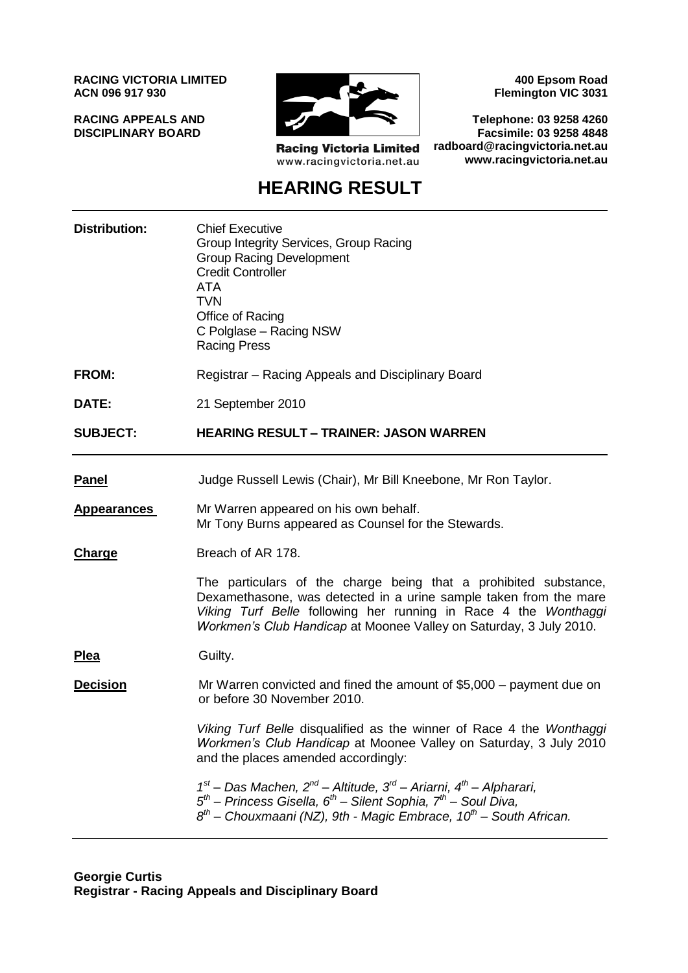**RACING VICTORIA LIMITED ACN 096 917 930**

**RACING APPEALS AND DISCIPLINARY BOARD**



**Racing Victoria Limited** www.racingvictoria.net.au

**400 Epsom Road Flemington VIC 3031**

**Telephone: 03 9258 4260 Facsimile: 03 9258 4848 radboard@racingvictoria.net.au www.racingvictoria.net.au**

## **HEARING RESULT**

| <b>Distribution:</b> | <b>Chief Executive</b><br>Group Integrity Services, Group Racing<br><b>Group Racing Development</b><br><b>Credit Controller</b><br><b>ATA</b><br><b>TVN</b><br>Office of Racing<br>C Polglase - Racing NSW<br><b>Racing Press</b>                                              |
|----------------------|--------------------------------------------------------------------------------------------------------------------------------------------------------------------------------------------------------------------------------------------------------------------------------|
| <b>FROM:</b>         | Registrar – Racing Appeals and Disciplinary Board                                                                                                                                                                                                                              |
| DATE:                | 21 September 2010                                                                                                                                                                                                                                                              |
| <b>SUBJECT:</b>      | <b>HEARING RESULT - TRAINER: JASON WARREN</b>                                                                                                                                                                                                                                  |
| <b>Panel</b>         | Judge Russell Lewis (Chair), Mr Bill Kneebone, Mr Ron Taylor.                                                                                                                                                                                                                  |
| <b>Appearances</b>   | Mr Warren appeared on his own behalf.<br>Mr Tony Burns appeared as Counsel for the Stewards.                                                                                                                                                                                   |
| Charge               | Breach of AR 178.                                                                                                                                                                                                                                                              |
|                      | The particulars of the charge being that a prohibited substance,<br>Dexamethasone, was detected in a urine sample taken from the mare<br>Viking Turf Belle following her running in Race 4 the Wonthaggi<br>Workmen's Club Handicap at Moonee Valley on Saturday, 3 July 2010. |
| <u>Plea</u>          | Guilty.                                                                                                                                                                                                                                                                        |
| <b>Decision</b>      | Mr Warren convicted and fined the amount of \$5,000 – payment due on<br>or before 30 November 2010.                                                                                                                                                                            |
|                      | Viking Turf Belle disqualified as the winner of Race 4 the Wonthaggi<br>Workmen's Club Handicap at Moonee Valley on Saturday, 3 July 2010<br>and the places amended accordingly:                                                                                               |
|                      | $1st$ – Das Machen, $2nd$ – Altitude, $3rd$ – Ariarni, $4th$ – Alpharari,<br>$5th$ – Princess Gisella, 6 <sup>th</sup> – Silent Sophia, 7 <sup>th</sup> – Soul Diva,<br>$8th$ – Chouxmaani (NZ), 9th - Magic Embrace, 10 <sup>th</sup> – South African.                        |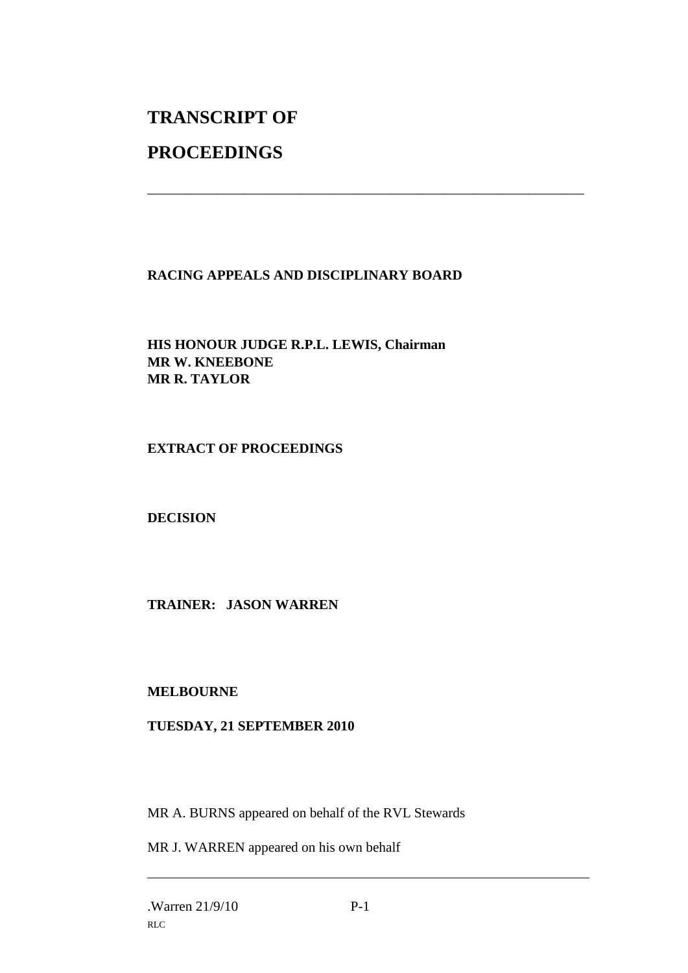# **TRANSCRIPT OF**

### **PROCEEDINGS**

#### **RACING APPEALS AND DISCIPLINARY BOARD**

\_\_\_\_\_\_\_\_\_\_\_\_\_\_\_\_\_\_\_\_\_\_\_\_\_\_\_\_\_\_\_\_\_\_\_\_\_\_\_\_\_\_\_\_\_\_\_\_\_\_\_\_\_\_\_\_\_\_\_\_\_\_\_

**HIS HONOUR JUDGE R.P.L. LEWIS, Chairman MR W. KNEEBONE MR R. TAYLOR**

#### **EXTRACT OF PROCEEDINGS**

**DECISION**

#### **TRAINER: JASON WARREN**

#### **MELBOURNE**

#### **TUESDAY, 21 SEPTEMBER 2010**

MR A. BURNS appeared on behalf of the RVL Stewards

MR J. WARREN appeared on his own behalf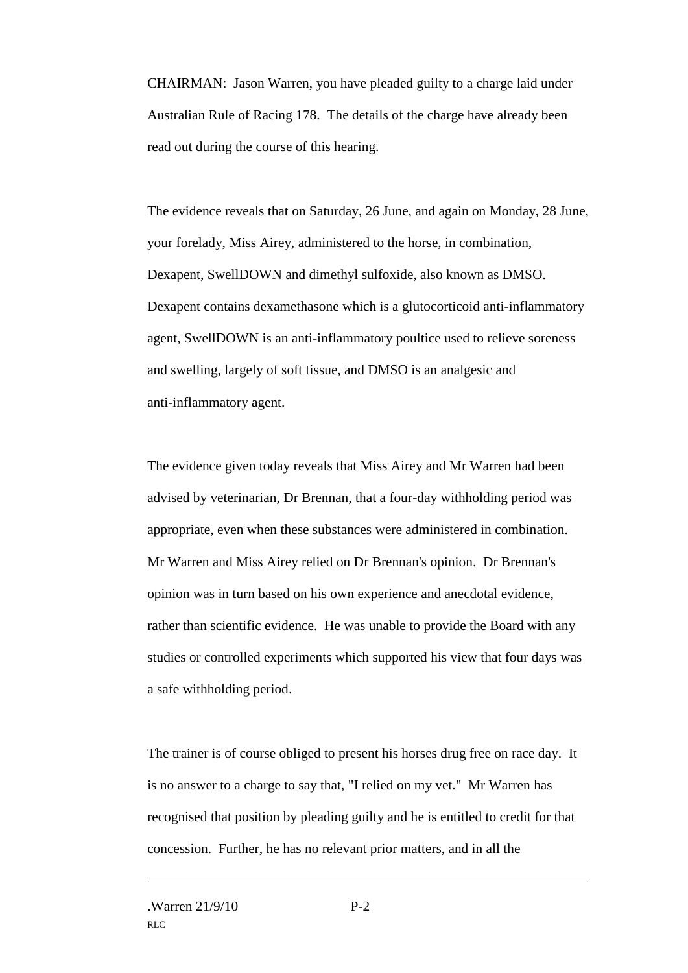CHAIRMAN: Jason Warren, you have pleaded guilty to a charge laid under Australian Rule of Racing 178. The details of the charge have already been read out during the course of this hearing.

The evidence reveals that on Saturday, 26 June, and again on Monday, 28 June, your forelady, Miss Airey, administered to the horse, in combination, Dexapent, SwellDOWN and dimethyl sulfoxide, also known as DMSO. Dexapent contains dexamethasone which is a glutocorticoid anti-inflammatory agent, SwellDOWN is an anti-inflammatory poultice used to relieve soreness and swelling, largely of soft tissue, and DMSO is an analgesic and anti-inflammatory agent.

The evidence given today reveals that Miss Airey and Mr Warren had been advised by veterinarian, Dr Brennan, that a four-day withholding period was appropriate, even when these substances were administered in combination. Mr Warren and Miss Airey relied on Dr Brennan's opinion. Dr Brennan's opinion was in turn based on his own experience and anecdotal evidence, rather than scientific evidence. He was unable to provide the Board with any studies or controlled experiments which supported his view that four days was a safe withholding period.

The trainer is of course obliged to present his horses drug free on race day. It is no answer to a charge to say that, "I relied on my vet." Mr Warren has recognised that position by pleading guilty and he is entitled to credit for that concession. Further, he has no relevant prior matters, and in all the